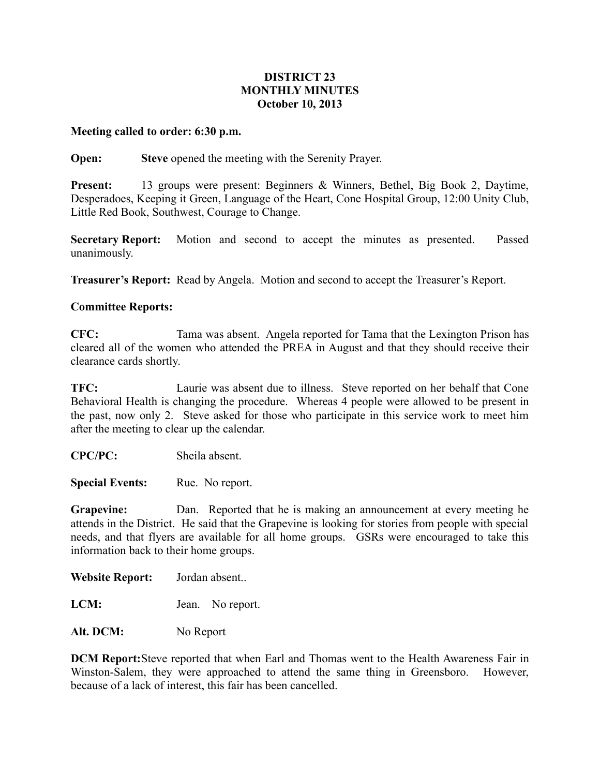## **DISTRICT 23 MONTHLY MINUTES October 10, 2013**

## **Meeting called to order: 6:30 p.m.**

**Open: Steve** opened the meeting with the Serenity Prayer.

**Present:** 13 groups were present: Beginners & Winners, Bethel, Big Book 2, Daytime, Desperadoes, Keeping it Green, Language of the Heart, Cone Hospital Group, 12:00 Unity Club, Little Red Book, Southwest, Courage to Change.

**Secretary Report:** Motion and second to accept the minutes as presented. Passed unanimously.

**Treasurer's Report:** Read by Angela. Motion and second to accept the Treasurer's Report.

## **Committee Reports:**

**CFC:** Tama was absent. Angela reported for Tama that the Lexington Prison has cleared all of the women who attended the PREA in August and that they should receive their clearance cards shortly.

**TFC:** Laurie was absent due to illness. Steve reported on her behalf that Cone Behavioral Health is changing the procedure. Whereas 4 people were allowed to be present in the past, now only 2. Steve asked for those who participate in this service work to meet him after the meeting to clear up the calendar.

**CPC/PC:** Sheila absent.

**Special Events:** Rue. No report.

**Grapevine:** Dan. Reported that he is making an announcement at every meeting he attends in the District. He said that the Grapevine is looking for stories from people with special needs, and that flyers are available for all home groups. GSRs were encouraged to take this information back to their home groups.

**Website Report:** Jordan absent..

**LCM:** Jean. No report.

Alt. DCM: No Report

**DCM Report:**Steve reported that when Earl and Thomas went to the Health Awareness Fair in Winston-Salem, they were approached to attend the same thing in Greensboro. However, because of a lack of interest, this fair has been cancelled.